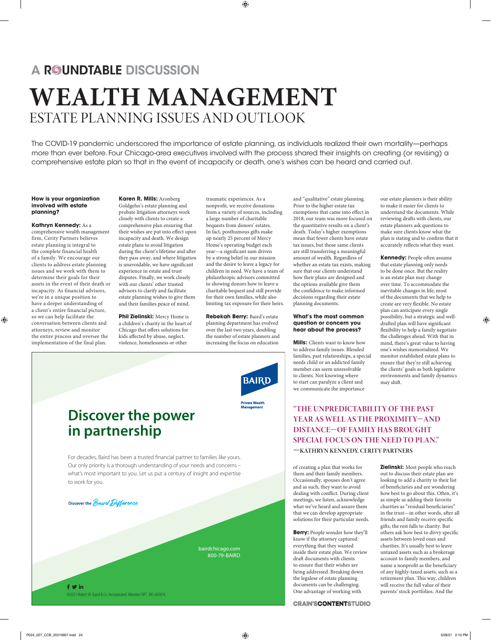# A ROUNDTABLE DISCUSSION **WEALTH MANAGEMENT** ESTATE PLANNING ISSUES AND OUTLOOK

The COVID-19 pandemic underscored the importance of estate planning, as individuals realized their own mortality—perhaps more than ever before. Four Chicago-area executives involved with the process shared their insights on creating (or revising) a comprehensive estate plan so that in the event of incapacity or death, one's wishes can be heard and carried out.

#### **How is your organization involved with estate planning?**

### **Kathryn Kennedy:** As a

comprehensive wealth management firm, Cerity Partners believes estate planning is integral to the complete financial health of a family. We encourage our clients to address estate planning issues and we work with them to determine their goals for their assets in the event of their death or incapacity. As financial advisors, we're in a unique position to have a deeper understanding of a client's entire financial picture, so we can help facilitate the conversation between clients and attorneys, review and monitor the entire process and oversee the implementation of the final plan.

**Karen R. Mills:** Aronberg Goldgehn's estate planning and probate litigation attorneys work closely with clients to create a comprehensive plan ensuring that their wishes are put into effect upon incapacity and death. We design estate plans to avoid litigation during the client's lifetime and after they pass away, and where litigation is unavoidable, we have significant experience in estate and trust disputes. Finally, we work closely with our clients' other trusted advisors to clarify and facilitate estate planning wishes to give them and their families peace of mind.

**Phil Zielinski:** Mercy Home is a children's charity in the heart of Chicago that offers solutions for kids affected by abuse, neglect, violence, homelessness or other

traumatic experiences. As a nonprofit, we receive donations from a variety of sources, including a large number of charitable bequests from donors' estates. In fact, posthumous gifts make up nearly 25 percent of Mercy Home's operating budget each year-a significant sum driven by a strong belief in our mission and the desire to leave a legacy for children in need. We have a team of philanthropic advisors committed to showing donors how to leave a charitable bequest and still provide for their own families, while also limiting tax exposure for their heirs.

**Rebekah Berry:** Baird's estate planning department has evolved over the last two years, doubling the number of estate planners and increasing the focus on education



# **Discover the power in partnership**

For decades, Baird has been a trusted financial partner to families like yours. Our only priority is a thorough understanding of your needs and concerns – what's most important to you. Let us put a century of insight and expertise to work for you.

Discover the Baird Difference

bairdchicago.com 800-79-BAIRD

 $f$   $\vee$  in ©2021 Robert W. Baird & Co. Incorporated. Member SIPC. MC-603814.

Prior to the higher estate tax exemptions that came into effect in 2018, our team was more focused on the quantitative results on a client's death. Today's higher exemptions mean that fewer clients have estate tax issues, but those same clients are still transferring a meaningful amount of wealth. Regardless of whether an estate tax exists, making sure that our clients understand how their plans are designed and the options available give them the confidence to make informed decisions regarding their estate planning documents.

and "qualitative" estate planning.

### **What's the most common question or concern you hear about the process?**

**Mills:** Clients want to know how to address family issues. Blended families, past relationships, a special needs child or an addicted family member can seem unresolvable to clients. Not knowing where to start can paralyze a client and we communicate the importance

our estate planners is their ability to make it easier for clients to understand the documents. While reviewing drafts with clients, our estate planners ask questions to make sure clients know what the plan is stating and to confirm that it accurately reflects what they want.

**Kennedy:** People often assume that estate planning only needs to be done once. But the reality is an estate plan may change over time. To accommodate the inevitable changes in life, most of the documents that we help to create are very flexible. No estate plan can anticipate every single possibility, but a strategic and welldrafted plan will have significant flexibility to help a family negotiate the challenges ahead. With that in mind, there's great value to having one's wishes memorialized. We monitor established estate plans to ensure that they're still achieving the clients' goals as both legislative environments and family dynamics may shift.

### **"THE UNPREDICTABILITY OF THE PAST YEAR AS WELL AS THE PROXIMITY—AND DISTANCE—OF FAMILY HAS BROUGHT SPECIAL FOCUS ON THE NEED TO PLAN." —KATHRYN KENNEDY, CERITY PARTNERS**

of creating a plan that works for them and their family members. Occasionally, spouses don't agree and as such, they want to avoid dealing with conflict. During client meetings, we listen, acknowledge what we've heard and assure them that we can develop appropriate solutions for their particular needs.

**Berry:** People wonder how they'll know if the attorney captured everything that they wanted inside their estate plan. We review draft documents with clients to ensure that their wishes are being addressed. Breaking down the legalese of estate planning documents can be challenging. One advantage of working with

**CRAIN'SCONTENTSTUDIO** 

**Zielinski:** Most people who reach out to discuss their estate plan are looking to add a charity to their list of beneficiaries and are wondering how best to go about this. Often, it's as simple as adding their favorite charities as "residual beneficiaries" in the trust-in other words, after all friends and family receive specific gifts, the rest falls to charity. But others ask how best to divvy specific assets between loved ones and charities. It's usually best to leave untaxed assets such as a brokerage account to family members, and name a nonprofit as the beneficiary of any highly-taxed assets, such as a retirement plan. This way, children will receive the full value of their parents' stock portfolios. And the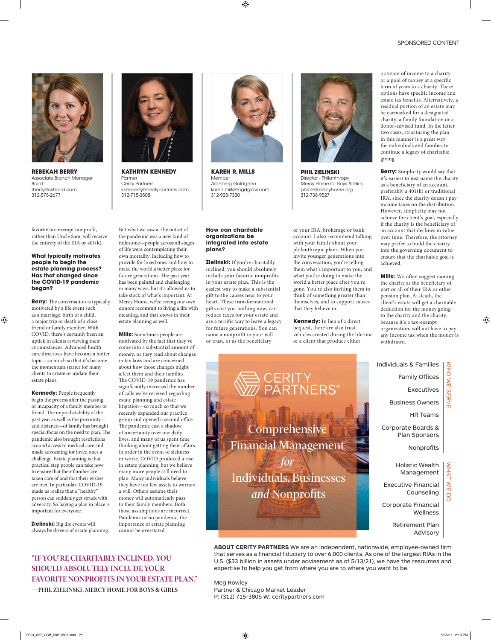

**REBEKAH BERRY**  Associate Branch Manager Baird rberry@rwbaird.com 312-578-2677

favorite tax-exempt nonprofit, rather than Uncle Sam, will receive the entirety of the IRA or 401(k).

### **What typically motivates people to begin the estate planning process? Has that changed since the COVID-19 pandemic began?**

**Berry:** The conversation is typically motivated by a life event such as a marriage, birth of a child, a major trip or death of a close friend or family member. With COVID, there's certainly been an uptick in clients reviewing their circumstances. Advanced health care directives have become a hotter topic—so much so that it's become the momentum starter for many clients to create or update their estate plans.

**Kennedy:** People frequently begin the process after the passing or incapacity of a family member or friend. The unpredictability of the past year as well as the proximity and distance—of family has brought special focus on the need to plan. The pandemic also brought restrictions around access to medical care and made advocating for loved ones a challenge. Estate planning is that practical step people can take now to ensure that their families are taken care of and that their wishes are met. In particular, COVID-19 made us realize that a "healthy" person can suddenly get struck with adversity. So having a plan in place is important for everyone.

**Zielinski:** Big life events will always be drivers of estate planning.

**"IF YOU'RE CHARITABLY INCLINED, YOU SHOULD ABSOLUTELY INCLUDE YOUR FAVORITE NONPROFITS IN YOUR ESTATE PLAN." —PHIL ZIELINSKI, MERCY HOME FOR BOYS & GIRLS**



**KATHRYN KENNEDY**  Partner Cerity Partners kkennedy@ceritypartners.com 312-715-3808

But what we saw at the outset of the pandemic was a new kind of milestone—people across all stages of life were contemplating their own mortality, including how to provide for loved ones and how to make the world a better place for future generations. The past year has been painful and challenging in many ways, but it's allowed us to take stock of what's important. At Mercy Home, we're seeing our own donors recommit to living a life with meaning, and that shows in their

estate planning as well.

**Mills:** Sometimes people are motivated by the fact that they've come into a substantial amount of money, or they read about changes in tax laws and are concerned about how those changes might affect them and their families. The COVID-19 pandemic has significantly increased the number of calls we've received regarding estate planning and estate litigation—so much so that we recently expanded our practice group and opened a second office. The pandemic cast a shadow of uncertainty over our daily lives, and many of us spent time thinking about getting their affairs in order in the event of sickness or worse. COVID produced a rise in estate planning, but we believe many more people still need to plan. Many individuals believe they have too few assets to warrant

a will. Others assume their money will automatically pass to their family members. Both those assumptions are incorrect. Pandemic or no pandemic, the importance of estate planning

cannot be overstated.



**KAREN R. MILLS**  Member Aronberg Goldgehn karen.mills@agdglaw.com 312-923-7330

#### **How can charitable organizations be integrated into estate plans?**

**Zielinski:** If you're charitably inclined, you should absolutely include your favorite nonprofits in your estate plan. This is the easiest way to make a substantial gift to the causes near to your heart. These transformational gifts cost you nothing now, can reduce taxes for your estate and are a terrific way to leave a legacy for future generations. You can name a nonprofit in your will or trust, or as the beneficiary



**PHIL ZIELINSKI** Director - Philanthropy Mercy Home for Boys & Girls phizie@mercyhome.org 312-738-9527

of your IRA, brokerage or bank account. I also recommend talking with your family about your philanthropic plans. When you invite younger generations into the conversation, you're telling them what's important to you, and what you're doing to make the world a better place after you're gone. You're also inviting them to think of something greater than themselves, and to support causes that they believe in.

**Kennedy:** In lieu of a direct bequest, there are also trust vehicles created during the lifetime of a client that produce either

a stream of income to a charity or a pool of money at a specific term of years to a charity. These options have specific income and estate tax benefits. Alternatively, a residual portion of an estate may be earmarked for a designated charity, a family foundation or a donor-advised fund. In the latter two cases, structuring the plan in this manner is a great way for individuals and families to continue a legacy of charitable giving.

**Berry:** Simplicity would say that it's easiest to just name the charity as a beneficiary of an account, preferably a 401(k) or traditional IRA, since the charity doesn't pay income taxes on the distribution. However, simplicity may not achieve the client's goal, especially if the charity is the beneficiary of an account that declines in value over time. Therefore, the attorney may prefer to build the charity into the governing document to ensure that the charitable goal is achieved.

**Mills:** We often suggest naming the charity as the beneficiary of part or all of their IRA or other pension plan. At death, the client's estate will get a charitable deduction for the money going to the charity and the charity, because it's a tax-exempt organization, will not have to pay any income tax when the money is withdrawn.

WHO WE SERVE

**SERVE** 

 $\leq$ 

NHO

WHAT WE DO

 $\leq$  $\overline{C}$ 

**VHAT** 



**ABOUT CERITY PARTNERS** We are an independent, nationwide, employee-owned firm that serves as a financial fiduciary to over 6,000 clients. As one of the largest RIAs in the U.S. (\$33 billion in assets under advisement as of 5/13/21), we have the resources and expertise to help you get from where you are to where you want to be.

Meg Rowley Partner & Chicago Market Leader P: (312) 715-3805 W: ceritypartners.com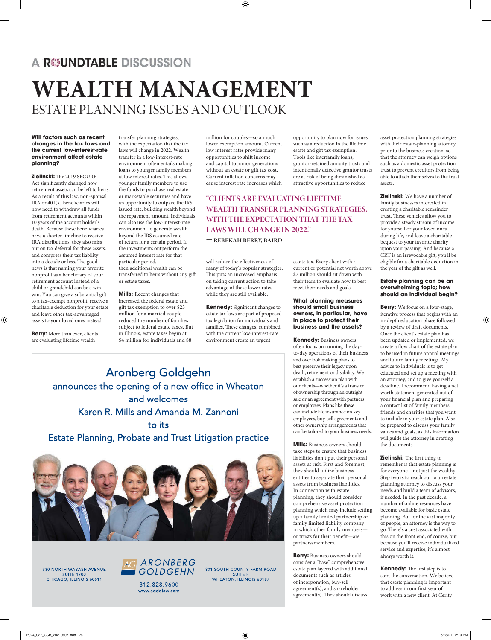## A ROUNDTABLE DISCUSSION

# **WEALTH MANAGEMENT** ESTATE PLANNING ISSUES AND OUTLOOK

### **Will factors such as recent changes in the tax laws and the current low-interest-rate environment affect estate planning?**

**Zielinski:** The 2019 SECURE Act signicantly changed how retirement assets can be left to heirs. As a result of this law, non-spousal IRA or  $401(k)$  beneficiaries will now need to withdraw all funds from retirement accounts within 10 years of the account holder's death. Because these beneficiaries have a shorter timeline to receive IRA distributions, they also miss out on tax deferral for these assets, and compress their tax liability into a decade or less. The good news is that naming your favorite nonprofit as a beneficiary of your retirement account instead of a child or grandchild can be a winwin. You can give a substantial gi to a tax-exempt nonprofit, receive a charitable deduction for your estate and leave other tax-advantaged assets to your loved ones instead.

**Berry:** More than ever, clients are evaluating lifetime wealth

transfer planning strategies, with the expectation that the tax laws will change in 2022. Wealth transfer in a low-interest-rate environment often entails making loans to younger family members at low interest rates. This allows younger family members to use the funds to purchase real estate or marketable securities and have an opportunity to outpace the IRS issued rate, building wealth beyond the repayment amount. Individuals can also use the low-interest-rate environment to generate wealth beyond the IRS assumed rate of return for a certain period. If the investments outperform the assumed interest rate for that particular period, then additional wealth can be transferred to heirs without any gi or estate taxes.

**Mills:** Recent changes that increased the federal estate and gift tax exemption to over \$23 million for a married couple reduced the number of families subject to federal estate taxes. But in Illinois, estate taxes begin at \$4 million for individuals and \$8

million for couples—so a much lower exemption amount. Current low interest rates provide many opportunities to shift income and capital to junior generations without an estate or gift tax cost. Current inflation concerns may cause interest rate increases which

**"CLIENTS ARE EVALUATING LIFETIME WEALTH TRANSFER PLANNING STRATEGIES, WITH THE EXPECTATION THAT THE TAX LAWS WILL CHANGE IN 2022."** 

**— REBEKAH BERRY, BAIRD**

will reduce the effectiveness of many of today's popular strategies. This puts an increased emphasis on taking current action to take advantage of these lower rates while they are still available.

**Kennedy:** Significant changes to estate tax laws are part of proposed tax legislation for individuals and families. These changes, combined with the current low-interest-rate environment create an urgent

opportunity to plan now for issues such as a reduction in the lifetime estate and gift tax exemption. Tools like interfamily loans, grantor-retained annuity trusts and intentionally defective grantor trusts are at risk of being diminished as attractive opportunities to reduce

estate tax. Every client with a current or potential net worth above \$7 million should sit down with their team to evaluate how to best meet their needs and goals.

### **What planning measures should small business owners, in particular, have in place to protect their business and the assets?**

**Kennedy:** Business owners often focus on running the dayto-day operations of their business and overlook making plans to best preserve their legacy upon death, retirement or disability. We establish a succession plan with our clients—whether it's a transfer of ownership through an outright sale or an agreement with partners or employees. Plans like these can include life insurance on key employees, buy-sell agreements and other ownership arrangements that can be tailored to your business needs.

**Mills:** Business owners should take steps to ensure that business liabilities don't put their personal assets at risk. First and foremost, they should utilize business entities to separate their personal assets from business liabilities. In connection with estate planning, they should consider comprehensive asset protection planning which may include setting up a family limited partnership or family limited liability company in which other family members or trusts for their benefit—are partners/members.

**Berry:** Business owners should consider a "base" comprehensive estate plan layered with additional documents such as articles of incorporation, buy-sell agreement(s), and shareholder agreement(s). They should discuss asset protection planning strategies with their estate-planning attorney prior to the business creation, so that the attorney can weigh options such as a domestic asset protection trust to prevent creditors from being able to attach themselves to the trust assets.

**Zielinski:** We have a number of family businesses interested in creating a charitable remainder trust. These vehicles allow you to provide a steady stream of income for yourself or your loved ones during life, and leave a charitable bequest to your favorite charity upon your passing. And because a CRT is an irrevocable gift, you'll be eligible for a charitable deduction in the year of the gift as well.

### **Estate planning can be an overwhelming topic; how should an individual begin?**

**Berry:** We focus on a four-stage, iterative process that begins with an in-depth education phase followed by a review of draft documents. Once the client's estate plan has been updated or implemented, we create a flow chart of the estate plan to be used in future annual meetings and future family meetings. My advice to individuals is to get educated and set up a meeting with an attorney, and to give yourself a deadline. I recommend having a net worth statement generated out of your financial plan and preparing a contact list of family members, friends and charities that you want to include in your estate plan. Also, be prepared to discuss your family values and goals, as this information will guide the attorney in drafting the documents.

**Zielinski:** The first thing to remember is that estate planning is for everyone – not just the wealthy. Step two is to reach out to an estate planning attorney to discuss your needs and build a team of advisors, if needed. In the past decade, a number of online resources have become available for basic estate planning. But for the vast majority of people, an attorney is the way to go. There's a cost associated with this on the front end, of course, but because you'll receive individualized service and expertise, it's almost always worth it.

**Kennedy:** The first step is to start the conversation. We believe that estate planning is important to address in our first year of work with a new client. At Cerity

**Aronberg Goldgehn** announces the opening of a new office in Wheaton and welcomes Karen R. Mills and Amanda M. Zannoni to its **Estate Planning, Probate and Trust Litigation practice** 



330 NORTH WABASH AVENUE **SUITE 1700** CHICAGO, ILLINOIS 60611



301 SOUTH COUNTY FARM ROAD SUITE F<br>WHEATON, ILLINOIS 60187